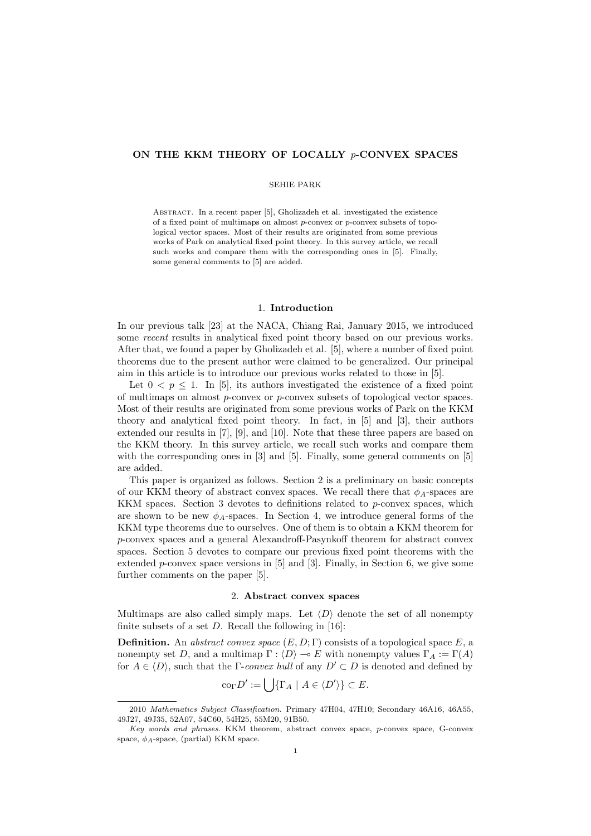# **ON THE KKM THEORY OF LOCALLY** *p***-CONVEX SPACES**

### SEHIE PARK

ABSTRACT. In a recent paper [5], Gholizadeh et al. investigated the existence of a fixed point of multimaps on almost *p*-convex or *p*-convex subsets of topological vector spaces. Most of their results are originated from some previous works of Park on analytical fixed point theory. In this survey article, we recall such works and compare them with the corresponding ones in [5]. Finally, some general comments to [5] are added.

### 1. **Introduction**

In our previous talk [23] at the NACA, Chiang Rai, January 2015, we introduced some *recent* results in analytical fixed point theory based on our previous works. After that, we found a paper by Gholizadeh et al. [5], where a number of fixed point theorems due to the present author were claimed to be generalized. Our principal aim in this article is to introduce our previous works related to those in [5].

Let  $0 < p \leq 1$ . In [5], its authors investigated the existence of a fixed point of multimaps on almost *p*-convex or *p*-convex subsets of topological vector spaces. Most of their results are originated from some previous works of Park on the KKM theory and analytical fixed point theory. In fact, in [5] and [3], their authors extended our results in [7], [9], and [10]. Note that these three papers are based on the KKM theory. In this survey article, we recall such works and compare them with the corresponding ones in [3] and [5]. Finally, some general comments on [5] are added.

This paper is organized as follows. Section 2 is a preliminary on basic concepts of our KKM theory of abstract convex spaces. We recall there that  $\phi_A$ -spaces are KKM spaces. Section 3 devotes to definitions related to *p*-convex spaces, which are shown to be new  $\phi_A$ -spaces. In Section 4, we introduce general forms of the KKM type theorems due to ourselves. One of them is to obtain a KKM theorem for *p*-convex spaces and a general Alexandroff-Pasynkoff theorem for abstract convex spaces. Section 5 devotes to compare our previous fixed point theorems with the extended *p*-convex space versions in [5] and [3]. Finally, in Section 6, we give some further comments on the paper [5].

# 2. **Abstract convex spaces**

Multimaps are also called simply maps. Let  $\langle D \rangle$  denote the set of all nonempty finite subsets of a set *D*. Recall the following in [16]:

**Definition.** An *abstract convex space*  $(E, D; \Gamma)$  consists of a topological space  $E$ , a nonempty set *D*, and a multimap  $\Gamma : \langle D \rangle \to E$  with nonempty values  $\Gamma_A := \Gamma(A)$ for  $A \in \langle D \rangle$ , such that the  $\Gamma$ -*convex hull* of any  $D' \subset D$  is denoted and defined by

$$
\operatorname{co}_{\Gamma} D' := \bigcup \{ \Gamma_A \mid A \in \langle D' \rangle \} \subset E.
$$

<sup>2010</sup> *Mathematics Subject Classification.* Primary 47H04, 47H10; Secondary 46A16, 46A55, 49J27, 49J35, 52A07, 54C60, 54H25, 55M20, 91B50.

*Key words and phrases.* KKM theorem, abstract convex space, *p*-convex space, G-convex space, *ϕA*-space, (partial) KKM space.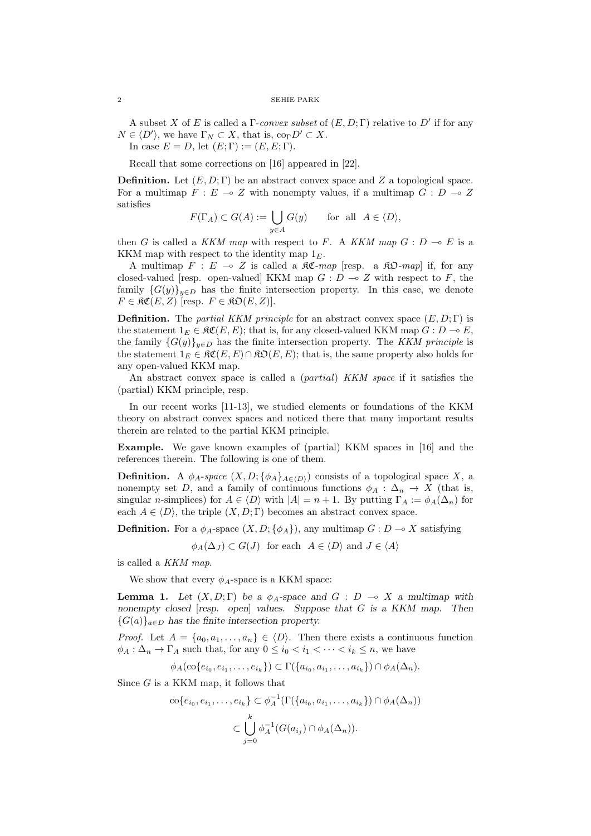A subset *X* of *E* is called a Γ-*convex subset* of (*E, D*; Γ) relative to *D′* if for any  $N \in \langle D' \rangle$ , we have  $\Gamma_N \subset X$ , that is,  $\text{co}_{\Gamma} D' \subset X$ .

In case  $E = D$ , let  $(E; \Gamma) := (E, E; \Gamma)$ .

Recall that some corrections on [16] appeared in [22].

**Definition.** Let (*E, D*; Γ) be an abstract convex space and *Z* a topological space. For a multimap  $F: E \to Z$  with nonempty values, if a multimap  $G: D \to Z$ satisfies

$$
F(\Gamma_A) \subset G(A) := \bigcup_{y \in A} G(y) \quad \text{for all } A \in \langle D \rangle,
$$

then *G* is called a *KKM map* with respect to *F*. A *KKM map*  $G : D \to E$  is a KKM map with respect to the identity map 1*E*.

A multimap  $F : E \multimap Z$  is called a  $\Re \mathfrak{C}$ -map [resp. a  $\Re \mathfrak{D}$ -map] if, for any closed-valued [resp. open-valued] KKM map  $G: D \to Z$  with respect to  $F$ , the family  ${G(y)}_{y\in D}$  has the finite intersection property. In this case, we denote  $F \in \mathfrak{RC}(E, Z)$  [resp.  $F \in \mathfrak{RO}(E, Z)$ ].

**Definition.** The *partial KKM principle* for an abstract convex space  $(E, D; \Gamma)$  is the statement  $1_E \in \mathfrak{RC}(E, E)$ ; that is, for any closed-valued KKM map  $G : D \to E$ , the family  ${G(y)}_{y \in D}$  has the finite intersection property. The *KKM principle* is the statement  $1_F \in \mathfrak{RC}(E, E) \cap \mathfrak{RO}(E, E)$ ; that is, the same property also holds for any open-valued KKM map.

An abstract convex space is called a (*partial*) *KKM space* if it satisfies the (partial) KKM principle, resp.

In our recent works [11-13], we studied elements or foundations of the KKM theory on abstract convex spaces and noticed there that many important results therein are related to the partial KKM principle.

**Example.** We gave known examples of (partial) KKM spaces in [16] and the references therein. The following is one of them.

**Definition.** A  $\phi_A$ -space  $(X, D; {\phi_A}_{A \in (D)})$  consists of a topological space X, a nonempty set *D*, and a family of continuous functions  $\phi_A : \Delta_n \to X$  (that is, singular *n*-simplices) for  $A \in \langle D \rangle$  with  $|A| = n + 1$ . By putting  $\Gamma_A := \phi_A(\Delta_n)$  for each  $A \in \langle D \rangle$ , the triple  $(X, D; \Gamma)$  becomes an abstract convex space.

**Definition.** For a  $\phi_A$ -space  $(X, D; {\phi_A})$ , any multimap  $G: D \to X$  satisfying

 $\phi_A(\Delta_J) \subset G(J)$  for each  $A \in \langle D \rangle$  and  $J \in \langle A \rangle$ 

is called a *KKM map*.

We show that every  $\phi_A$ -space is a KKM space:

**Lemma 1.** *Let*  $(X, D; \Gamma)$  *be a*  $\phi_A$ *-space and*  $G: D \to X$  *a multimap with nonempty closed* [*resp. open*] *values. Suppose that G is a KKM map. Then*  ${G(a)}_{a \in D}$  *has the finite intersection property.* 

*Proof.* Let  $A = \{a_0, a_1, \ldots, a_n\} \in \langle D \rangle$ . Then there exists a continuous function  $\phi_A : \Delta_n \to \Gamma_A$  such that, for any  $0 \leq i_0 < i_1 < \cdots < i_k \leq n$ , we have

$$
\phi_A(\text{co}\{e_{i_0},e_{i_1},\ldots,e_{i_k}\}) \subset \Gamma(\{a_{i_0},a_{i_1},\ldots,a_{i_k}\}) \cap \phi_A(\Delta_n).
$$

Since *G* is a KKM map, it follows that

$$
\operatorname{co}\{e_{i_0}, e_{i_1}, \dots, e_{i_k}\} \subset \phi_A^{-1}(\Gamma(\{a_{i_0}, a_{i_1}, \dots, a_{i_k}\}) \cap \phi_A(\Delta_n))
$$

$$
\subset \bigcup_{j=0}^k \phi_A^{-1}(G(a_{i_j}) \cap \phi_A(\Delta_n)).
$$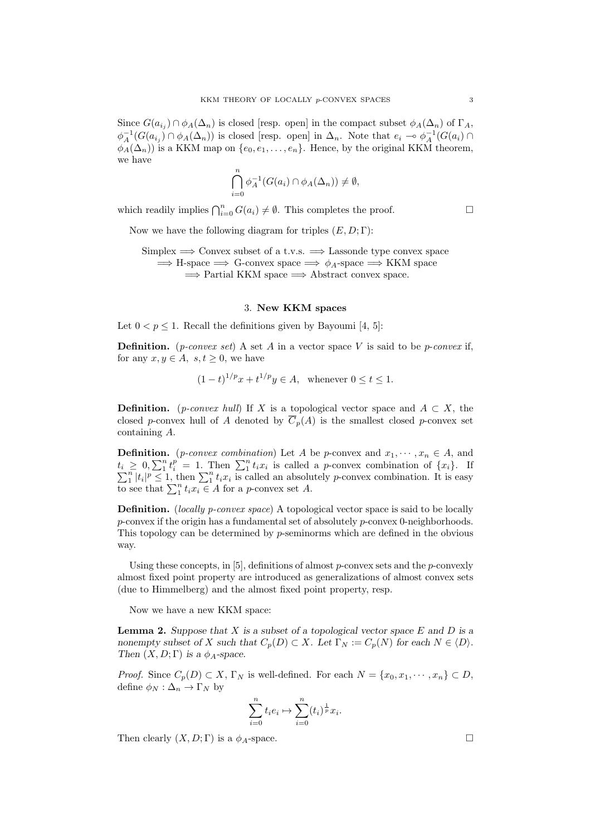Since  $G(a_{i_j}) \cap \phi_A(\Delta_n)$  is closed [resp. open] in the compact subset  $\phi_A(\Delta_n)$  of  $\Gamma_A$ ,  $\phi_A^{-1}(G(a_{i_j}) \cap \phi_A(\Delta_n))$  is closed [resp. open] in  $\Delta_n$ . Note that  $e_i \to \phi_A^{-1}(G(a_i) \cap$  $\phi_A(\Delta_n)$ ) is a KKM map on  $\{e_0, e_1, \ldots, e_n\}$ . Hence, by the original KKM theorem, we have

$$
\bigcap_{i=0}^{n} \phi_A^{-1}(G(a_i) \cap \phi_A(\Delta_n)) \neq \emptyset,
$$

which readily implies  $\bigcap_{i=0}^{n} G(a_i) \neq \emptyset$ . This completes the proof. □

Now we have the following diagram for triples (*E, D*; Γ):

Simplex =*⇒* Convex subset of a t.v.s. =*⇒* Lassonde type convex space =*⇒* H-space =*⇒* G-convex space =*⇒ ϕA*-space =*⇒* KKM space =*⇒* Partial KKM space =*⇒* Abstract convex space.

#### 3. **New KKM spaces**

Let  $0 < p \leq 1$ . Recall the definitions given by Bayoumi [4, 5]:

**Definition.** (*p-convex set*) A set *A* in a vector space *V* is said to be *p*-*convex* if, for any  $x, y \in A$ ,  $s, t \geq 0$ , we have

$$
(1-t)^{1/p}x + t^{1/p}y \in A
$$
, whenever  $0 \le t \le 1$ .

**Definition.** (*p-convex hull*) If *X* is a topological vector space and  $A \subset X$ , the closed *p*-convex hull of *A* denoted by  $\overline{C}_p(A)$  is the smallest closed *p*-convex set containing *A*.

**Definition.** (*p-convex combination*) Let *A* be *p*-convex and  $x_1, \dots, x_n \in A$ , and  $t_i \geq 0, \sum_1^n t_i^p = 1$ . Then  $\sum_1^n t_i x_i$ ∑  $\geq 0$ ,  $\sum_{1}^{n} t_{i}^{p} = 1$ . Then  $\sum_{1}^{n} t_{i} x_{i}$  is called a *p*-convex combination of  $\{x_{i}\}$ . If  $\int_{1}^{n} |t_i|^p \leq 1$ , then  $\sum_{i=1}^{n} t_i x_i$  is called an absolutely *p*-convex combination. It is easy to see that  $\sum_{i=1}^{n} t_i x_i \in A$  for a *p*-convex set *A*.

**Definition.** (*locally p-convex space*) A topological vector space is said to be locally *p*-convex if the origin has a fundamental set of absolutely *p*-convex 0-neighborhoods. This topology can be determined by *p*-seminorms which are defined in the obvious way.

Using these concepts, in [5], definitions of almost *p*-convex sets and the *p*-convexly almost fixed point property are introduced as generalizations of almost convex sets (due to Himmelberg) and the almost fixed point property, resp.

Now we have a new KKM space:

**Lemma 2.** *Suppose that X is a subset of a topological vector space E and D is a nonempty subset of X such that*  $C_p(D) \subset X$ *. Let*  $\Gamma_N := C_p(N)$  for each  $N \in \langle D \rangle$ *. Then*  $(X, D; \Gamma)$  *is a*  $\phi_A$ *-space.* 

*Proof.* Since  $C_p(D) \subset X$ ,  $\Gamma_N$  is well-defined. For each  $N = \{x_0, x_1, \dots, x_n\} \subset D$ , define  $\phi_N : \Delta_n \to \Gamma_N$  by

$$
\sum_{i=0}^{n} t_i e_i \mapsto \sum_{i=0}^{n} (t_i)^{\frac{1}{p}} x_i.
$$

Then clearly  $(X, D; \Gamma)$  is a  $\phi_A$ -space.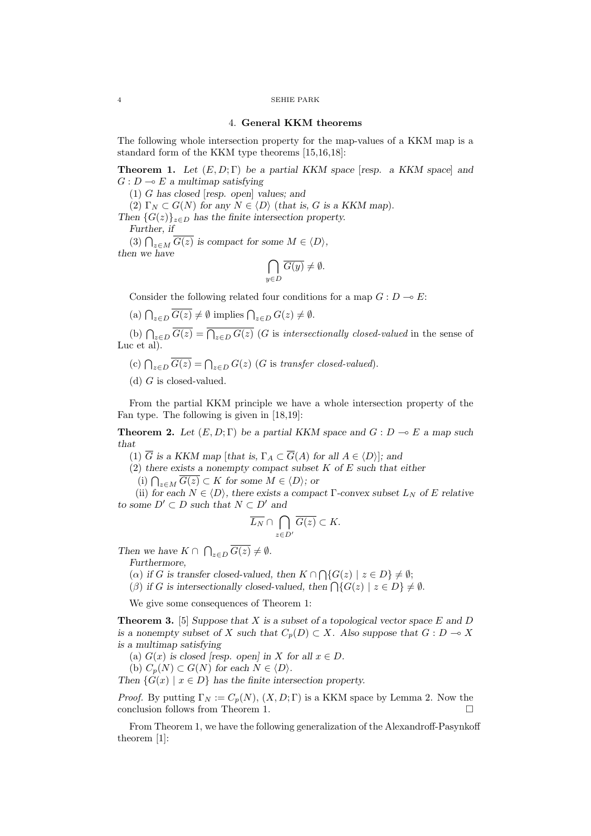#### 4 SEHIE PARK

### 4. **General KKM theorems**

The following whole intersection property for the map-values of a KKM map is a standard form of the KKM type theorems [15,16,18]:

**Theorem 1.** *Let* (*E, D*; Γ) *be a partial KKM space* [*resp. a KKM space*] *and*  $G: D \rightarrow E$  *a multimap satisfying* 

(1) *G has closed* [*resp. open*] *values; and*

 $(2)$   $\Gamma_N \subset G(N)$  for any  $N \in \langle D \rangle$  (*that is, G is a KKM map*).

*Then*  ${G(z)}_{z \in D}$  *has the finite intersection property.* 

*Further, if*

(3)  $\bigcap_{z \in M} \overline{G(z)}$  is compact for some  $M \in \langle D \rangle$ , *then we have*

$$
\bigcap_{y\in D}\overline{G(y)}\neq\emptyset.
$$

Consider the following related four conditions for a map  $G: D \to E$ :

 $\left(\text{a}\right) \bigcap_{z \in D} \overline{G(z)} \neq \emptyset \text{ implies } \bigcap_{z \in D} G(z) \neq \emptyset.$ 

(b)  $\bigcap_{z\in D} \overline{G(z)} = \overline{\bigcap_{z\in D} G(z)}$  (*G* is *intersectionally closed-valued* in the sense of Luc et al.

- (c)  $\bigcap_{z \in D} \overline{G(z)} = \bigcap_{z \in D} G(z)$  (*G* is *transfer closed-valued*).
- (d) *G* is closed-valued.

From the partial KKM principle we have a whole intersection property of the Fan type. The following is given in [18,19]:

**Theorem 2.** Let  $(E, D; \Gamma)$  be a partial KKM space and  $G: D \to E$  a map such *that*

 $(1)$   $\overline{G}$  *is a KKM map* [*that is,*  $\Gamma_A \subset \overline{G}(A)$  *for all*  $A \in \langle D \rangle$ ]*; and* 

(2) *there exists a nonempty compact subset K of E such that either*

(i)  $\bigcap_{z \in M} \overline{G(z)} \subset K$  for some  $M \in \langle D \rangle$ *;* or

(ii) *for each*  $N \in \langle D \rangle$ *, there exists a compact*  $\Gamma$ *-convex subset*  $L_N$  *of*  $E$  *relative to some*  $D' ⊂ D$  *such that*  $N ⊂ D'$  *and* 

$$
\overline{L_N}\cap \bigcap_{z\in D'}\overline{G(z)}\subset K.
$$

*Then we have*  $K \cap \bigcap_{z \in D} \overline{G(z)} \neq \emptyset$ *.* 

*Furthermore,*

(*α*) if *G* is transfer closed-valued, then  $K \cap \bigcap \{G(z) \mid z \in D\} \neq \emptyset$ ;

 $(\beta)$  *if G is intersectionally closed-valued, then*  $\bigcap \{G(z) \mid z \in D\} \neq \emptyset$ .

We give some consequences of Theorem 1:

**Theorem 3.** [5] *Suppose that X is a subset of a topological vector space E and D is a nonempty subset of X such that*  $C_p(D) \subset X$ *. Also suppose that*  $G: D \to X$ *is a multimap satisfying*

(a)  $G(x)$  is closed [resp. open] in *X* for all  $x \in D$ .

(b)  $C_p(N) \subset G(N)$  for each  $N \in \langle D \rangle$ .

*Then*  $\{G(x) \mid x \in D\}$  *has the finite intersection property.* 

*Proof.* By putting  $\Gamma_N := C_p(N)$ ,  $(X, D; \Gamma)$  is a KKM space by Lemma 2. Now the conclusion follows from Theorem 1.

From Theorem 1, we have the following generalization of the Alexandroff-Pasynkoff theorem [1]: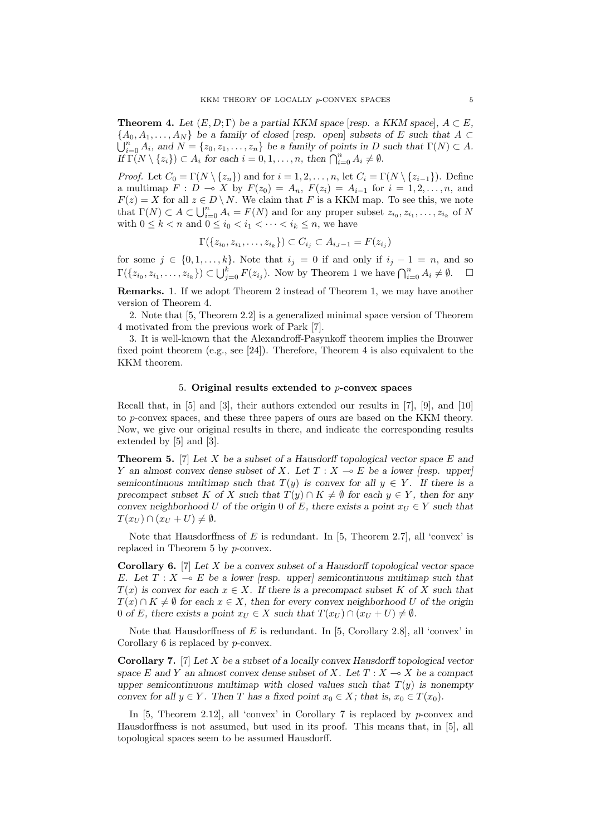**Theorem 4.** *Let*  $(E, D; \Gamma)$  *be a partial KKM space* [*resp. a KKM space*]*,*  $A \subset E$ *,*  ${A_0, A_1, \ldots, A_N}$  *be a family of closed* [*resp. open*] *subsets of E such that A*  $\subset$  $\bigcup_{i=0}^{n} A_i$ , and  $N = \{z_0, z_1, \ldots, z_n\}$  be a family of points in *D* such that  $\Gamma(N) \subset A$ .  $\iint \Gamma(N \setminus \{z_i\}) \subset A_i$  for each  $i = 0, 1, \ldots, n$ , then  $\bigcap_{i=0}^n A_i \neq \emptyset$ .

*Proof.* Let  $C_0 = \Gamma(N \setminus \{z_n\})$  and for  $i = 1, 2, \ldots, n$ , let  $C_i = \Gamma(N \setminus \{z_{i-1}\})$ . Define a multimap  $F: D \to X$  by  $F(z_0) = A_n$ ,  $F(z_i) = A_{i-1}$  for  $i = 1, 2, ..., n$ , and  $F(z) = X$  for all  $z \in D \setminus N$ . We claim that *F* is a KKM map. To see this, we note that  $\Gamma(N) \subset A \subset \bigcup_{i=0}^{n} A_i = F(N)$  and for any proper subset  $z_{i_0}, z_{i_1}, \ldots, z_{i_k}$  of N with  $0 \leq k < n$  and  $0 \leq i_0 < i_1 < \cdots < i_k \leq n$ , we have

$$
\Gamma({z_{i_0}, z_{i_1}, \ldots, z_{i_k}}) \subset C_{i_j} \subset A_{i_j-1} = F(z_{i_j})
$$

for some  $j \in \{0, 1, \ldots, k\}$ . Note that  $i_j = 0$  if and only if  $i_j - 1 = n$ , and so  $\Gamma(\{z_{i_0}, z_{i_1}, \ldots, z_{i_k}\}) \subset \bigcup_{j=0}^k F(z_{i_j}).$  Now by Theorem 1 we have  $\bigcap_{i=0}^n A_i \neq \emptyset$ .  $\Box$ 

**Remarks.** 1. If we adopt Theorem 2 instead of Theorem 1, we may have another version of Theorem 4.

2. Note that [5, Theorem 2.2] is a generalized minimal space version of Theorem 4 motivated from the previous work of Park [7].

3. It is well-known that the Alexandroff-Pasynkoff theorem implies the Brouwer fixed point theorem (e.g., see [24]). Therefore, Theorem 4 is also equivalent to the KKM theorem.

## 5. **Original results extended to** *p***-convex spaces**

Recall that, in [5] and [3], their authors extended our results in [7], [9], and [10] to *p*-convex spaces, and these three papers of ours are based on the KKM theory. Now, we give our original results in there, and indicate the corresponding results extended by [5] and [3].

**Theorem 5.** [7] *Let X be a subset of a Hausdorff topological vector space E and Y* an almost convex dense subset of *X.* Let  $T : X \to E$  be a lower [resp. upper] *semicontinuous multimap such that*  $T(y)$  *is convex for all*  $y \in Y$ *. If there is a precompact subset K of X such that*  $T(y) \cap K \neq \emptyset$  *for each*  $y \in Y$ *, then for any convex neighborhood U* of the origin 0 of *E*, there exists a point  $x_U \in Y$  such that  $T(x_U) \cap (x_U + U) \neq \emptyset$ .

Note that Hausdorffness of  $E$  is redundant. In  $[5,$  Theorem 2.7], all 'convex' is replaced in Theorem 5 by *p*-convex.

**Corollary 6.** [7] *Let X be a convex subset of a Hausdorff topological vector space E*. Let  $T: X \to E$  be a lower [resp. upper] semicontinuous multimap such that  $T(x)$  is convex for each  $x \in X$ *. If there is a precompact subset* K of X such that *T*(*x*) ∩ *K*  $\neq$  *Ø for each x*  $\in$  *X, then for every convex neighborhood U of the origin* 0 of *E*, there exists a point  $x_U \in X$  such that  $T(x_U) \cap (x_U + U) \neq \emptyset$ .

Note that Hausdorffness of *E* is redundant. In [5, Corollary 2.8], all 'convex' in Corollary 6 is replaced by *p*-convex.

**Corollary 7.** [7] *Let X be a subset of a locally convex Hausdorff topological vector space E* and *Y* an almost convex dense subset of *X.* Let  $T : X \to X$  be a compact *upper semicontinuous multimap with closed values such that*  $T(y)$  *is nonempty convex for all*  $y \in Y$ *. Then T* has a fixed point  $x_0 \in X$ *; that is,*  $x_0 \in T(x_0)$ *.* 

In [5, Theorem 2.12], all 'convex' in Corollary 7 is replaced by *p*-convex and Hausdorffness is not assumed, but used in its proof. This means that, in [5], all topological spaces seem to be assumed Hausdorff.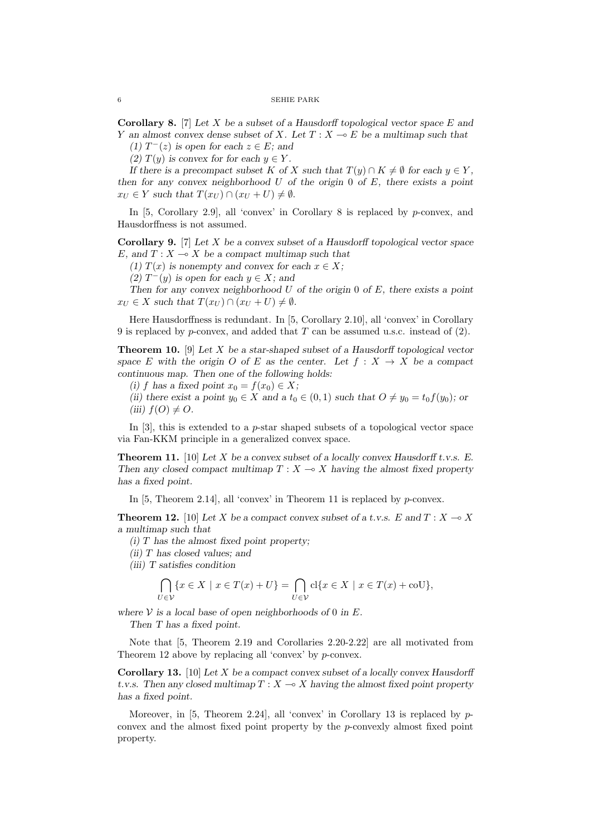**Corollary 8.** [7] *Let X be a subset of a Hausdorff topological vector space E and Y* an almost convex dense subset of *X.* Let  $T: X \to E$  be a multimap such that

*(1)*  $T^-(z)$  *is open for each*  $z \in E$ *; and* 

*(2)*  $T(y)$  *is convex for for each*  $y \in Y$ .

*If there is a precompact subset K of X such that*  $T(y) \cap K \neq \emptyset$  *for each*  $y \in Y$ . *then for any convex neighborhood U of the origin* 0 *of E, there exists a point*  $x_U \in Y$  *such that*  $T(x_U) \cap (x_U + U) \neq \emptyset$ *.* 

In [5, Corollary 2.9], all 'convex' in Corollary 8 is replaced by *p*-convex, and Hausdorffness is not assumed.

**Corollary 9.** [7] *Let X be a convex subset of a Hausdorff topological vector space E*, and  $T: X \to X$  be a compact multimap such that

*(1)*  $T(x)$  *is nonempty and convex for each*  $x \in X$ ;

*(2)*  $T^-(y)$  *is open for each*  $y \in X$ *; and* 

*Then for any convex neighborhood U of the origin* 0 *of E, there exists a point*  $x_U \in X$  *such that*  $T(x_U) \cap (x_U + U) \neq \emptyset$ *.* 

Here Hausdorffness is redundant. In [5, Corollary 2.10], all 'convex' in Corollary 9 is replaced by *p*-convex, and added that *T* can be assumed u.s.c. instead of (2).

**Theorem 10.** [9] *Let X be a star-shaped subset of a Hausdorff topological vector space E* with the origin *O* of *E* as the center. Let  $f : X \to X$  be a compact *continuous map. Then one of the following holds:*

 $f$  *has a fixed point*  $x_0 = f(x_0) \in X$ ;

*(ii)* there exist a point  $y_0 \in X$  and a  $t_0 \in (0,1)$  such that  $O \neq y_0 = t_0 f(y_0)$ ; or  $f(iii)$   $f(O) \neq O$ .

In [3], this is extended to a *p*-star shaped subsets of a topological vector space via Fan-KKM principle in a generalized convex space.

**Theorem 11.** [10] *Let X be a convex subset of a locally convex Hausdorff t.v.s. E. Then any closed compact multimap*  $T : X \to X$  *having the almost fixed property has a fixed point.*

In [5, Theorem 2.14], all 'convex' in Theorem 11 is replaced by *p*-convex.

**Theorem 12.** [10] Let X be a compact convex subset of a t.v.s. E and  $T: X \to X$ *a multimap such that*

*(i) T has the almost fixed point property;*

*(ii) T has closed values; and*

*(iii) T satisfies condition*

$$
\bigcap_{U \in \mathcal{V}} \{x \in X \mid x \in T(x) + U\} = \bigcap_{U \in \mathcal{V}} cl\{x \in X \mid x \in T(x) + \text{coU}\},\
$$

where  $V$  *is a local base of open neighborhoods of* 0 *in*  $E$ *.* 

*Then T has a fixed point.*

Note that [5, Theorem 2.19 and Corollaries 2.20-2.22] are all motivated from Theorem 12 above by replacing all 'convex' by *p*-convex.

**Corollary 13.** [10] *Let X be a compact convex subset of a locally convex Hausdorff t.v.s.* Then any closed multimap  $T : X \to X$  having the almost fixed point property *has a fixed point.*

Moreover, in [5, Theorem 2.24], all 'convex' in Corollary 13 is replaced by pconvex and the almost fixed point property by the *p*-convexly almost fixed point property.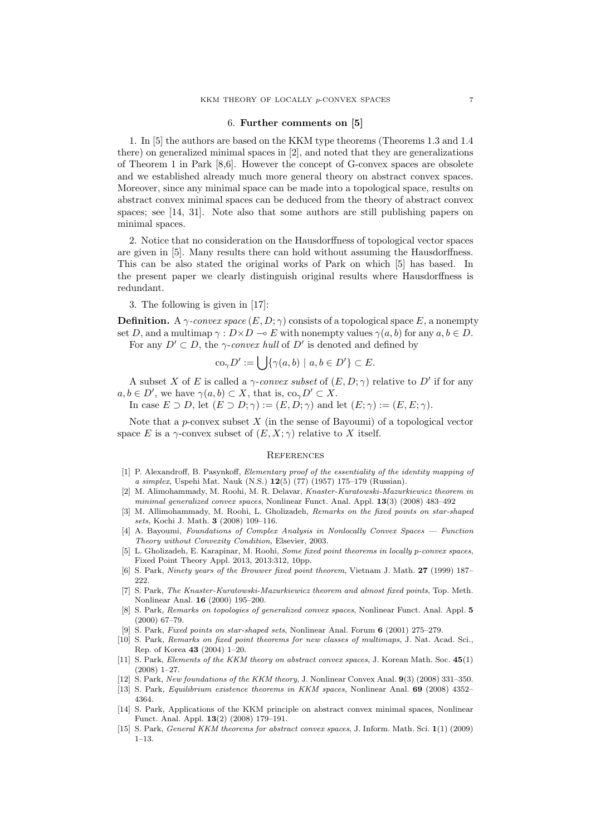#### 6. **Further comments on [5]**

1. In [5] the authors are based on the KKM type theorems (Theorems 1.3 and 1.4 there) on generalized minimal spaces in [2], and noted that they are generalizations of Theorem 1 in Park [8,6]. However the concept of G-convex spaces are obsolete and we established already much more general theory on abstract convex spaces. Moreover, since any minimal space can be made into a topological space, results on abstract convex minimal spaces can be deduced from the theory of abstract convex spaces; see [14, 31]. Note also that some authors are still publishing papers on minimal spaces.

2. Notice that no consideration on the Hausdorffness of topological vector spaces are given in [5]. Many results there can hold without assuming the Hausdorffness. This can be also stated the original works of Park on which [5] has based. In the present paper we clearly distinguish original results where Hausdorffness is redundant.

3. The following is given in [17]:

**Definition.** A  $\gamma$ -convex space  $(E, D; \gamma)$  consists of a topological space E, a nonempty set *D*, and a multimap  $\gamma : D \times D \to E$  with nonempty values  $\gamma(a, b)$  for any  $a, b \in D$ . For any  $D' \subset D$ , the *γ*-*convex hull* of  $D'$  is denoted and defined by

$$
co_{\gamma}D' := \bigcup \{ \gamma(a, b) \mid a, b \in D' \} \subset E.
$$

A subset *X* of *E* is called a *γ*-*convex subset* of  $(E, D; \gamma)$  relative to *D'* if for any  $a, b \in D'$ , we have  $\gamma(a, b) \subset X$ , that is,  $\text{co}_{\gamma} D' \subset X$ .

In case  $E \supset D$ , let  $(E \supset D; \gamma) := (E, D; \gamma)$  and let  $(E; \gamma) := (E, E; \gamma)$ .

Note that a *p*-convex subset *X* (in the sense of Bayoumi) of a topological vector space *E* is a  $\gamma$ -convex subset of  $(E, X; \gamma)$  relative to *X* itself.

#### **REFERENCES**

- [1] P. Alexandroff, B. Pasynkoff, *Elementary proof of the essentiality of the identity mapping of a simplex*, Uspehi Mat. Nauk (N.S.) **12**(5) (77) (1957) 175–179 (Russian).
- [2] M. Alimohammady, M. Roohi, M. R. Delavar, *Knaster-Kuratowski-Mazurkiewicz theorem in minimal generalized convex spaces*, Nonlinear Funct. Anal. Appl. **13**(3) (2008) 483–492
- [3] M. Allimohammady, M. Roohi, L. Gholizadeh, *Remarks on the fixed points on star-shaped sets*, Kochi J. Math. **3** (2008) 109–116.
- [4] A. Bayoumi, *Foundations of Complex Analysis in Nonlocally Convex Spaces Function Theory without Convexity Condition,* Elsevier, 2003.
- [5] L. Gholizadeh, E. Karapinar, M. Roohi, *Some fixed point theorems in locally p-convex spaces*, Fixed Point Theory Appl. 2013, 2013:312, 10pp.
- [6] S. Park, *Ninety years of the Brouwer fixed point theorem*, Vietnam J. Math. **27** (1999) 187– 222.
- [7] S. Park, *The Knaster-Kuratowski-Mazurkiewicz theorem and almost fixed points*, Top. Meth. Nonlinear Anal. **16** (2000) 195–200.
- [8] S. Park, *Remarks on topologies of generalized convex spaces*, Nonlinear Funct. Anal. Appl. **5** (2000) 67–79.
- [9] S. Park, *Fixed points on star-shaped sets*, Nonlinear Anal. Forum **6** (2001) 275–279.
- [10] S. Park, *Remarks on fixed point theorems for new classes of multimaps*, J. Nat. Acad. Sci., Rep. of Korea **43** (2004) 1–20.
- [11] S. Park, *Elements of the KKM theory on abstract convex spaces*, J. Korean Math. Soc. **45**(1) (2008) 1–27.
- [12] S. Park, *New foundations of the KKM theory*, J. Nonlinear Convex Anal. **9**(3) (2008) 331–350.
- [13] S. Park, *Equilibrium existence theorems in KKM spaces*, Nonlinear Anal. **69** (2008) 4352– 4364.
- [14] S. Park, Applications of the KKM principle on abstract convex minimal spaces, Nonlinear Funct. Anal. Appl. **13**(2) (2008) 179–191.
- [15] S. Park, *General KKM theorems for abstract convex spaces*, J. Inform. Math. Sci. **1**(1) (2009) 1–13.